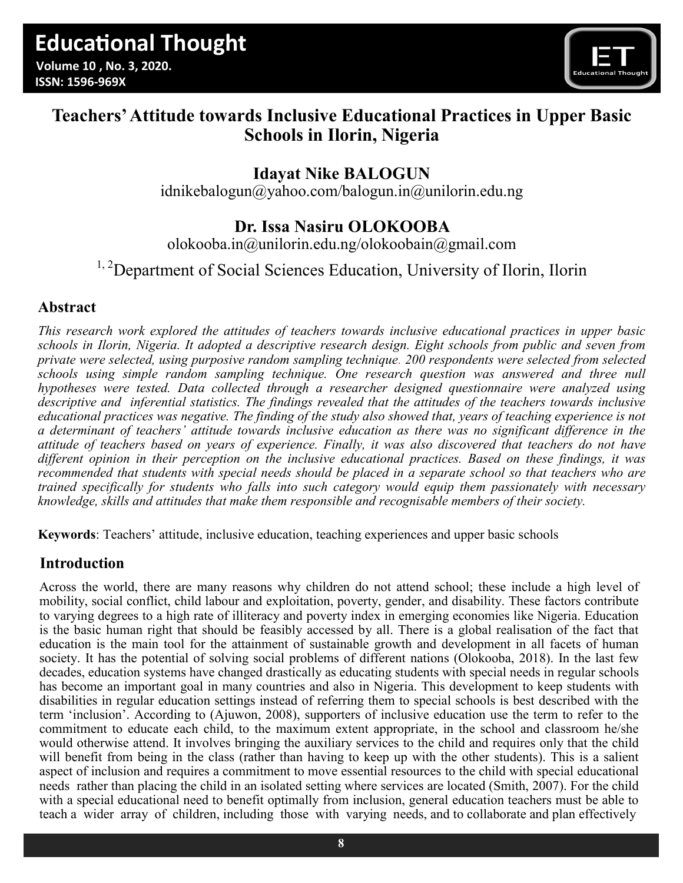

# **Teachers' Attitude towards Inclusive Educational Practices in Upper Basic Schools in Ilorin, Nigeria**

# **Idayat Nike BALOGUN**

[idnikebalogun@yahoo.com/balogun.in@unilorin.edu.ng](about:blank)

## **Dr. Issa Nasiru OLOKOOBA**

[olokooba.in@unilorin.edu.ng/o](about:blank)lokoobain@gmail.com

## <sup>1, 2</sup>Department of Social Sciences Education, University of Ilorin, Ilorin

### **Abstract**

*This research work explored the attitudes of teachers towards inclusive educational practices in upper basic schools in Ilorin, Nigeria. It adopted a descriptive research design. Eight schools from public and seven from private were selected, using purposive random sampling technique. 200 respondents were selected from selected schools using simple random sampling technique. One research question was answered and three null hypotheses were tested. Data collected through a researcher designed questionnaire were analyzed using descriptive and inferential statistics. The findings revealed that the attitudes of the teachers towards inclusive educational practices was negative. The finding of the study also showed that, years of teaching experience is not a determinant of teachers' attitude towards inclusive education as there was no significant difference in the attitude of teachers based on years of experience. Finally, it was also discovered that teachers do not have different opinion in their perception on the inclusive educational practices. Based on these findings, it was recommended that students with special needs should be placed in a separate school so that teachers who are trained specifically for students who falls into such category would equip them passionately with necessary knowledge, skills and attitudes that make them responsible and recognisable members of their society.*

**Keywords**: Teachers' attitude, inclusive education, teaching experiences and upper basic schools

### **Introduction**

Across the world, there are many reasons why children do not attend school; these include a high level of mobility, social conflict, child labour and exploitation, poverty, gender, and disability. These factors contribute to varying degrees to a high rate of illiteracy and poverty index in emerging economies like Nigeria. Education is the basic human right that should be feasibly accessed by all. There is a global realisation of the fact that education is the main tool for the attainment of sustainable growth and development in all facets of human society. It has the potential of solving social problems of different nations (Olokooba, 2018). In the last few decades, education systems have changed drastically as educating students with special needs in regular schools has become an important goal in many countries and also in Nigeria. This development to keep students with disabilities in regular education settings instead of referring them to special schools is best described with the term 'inclusion'. According to (Ajuwon, 2008), supporters of inclusive education use the term to refer to the commitment to educate each child, to the maximum extent appropriate, in the school and classroom he/she would otherwise attend. It involves bringing the auxiliary services to the child and requires only that the child will benefit from being in the class (rather than having to keep up with the other students). This is a salient aspect of inclusion and requires a commitment to move essential resources to the child with special educational needs rather than placing the child in an isolated setting where services are located (Smith, 2007). For the child with a special educational need to benefit optimally from inclusion, general education teachers must be able to teach a wider array of children, including those with varying needs, and to collaborate and plan effectively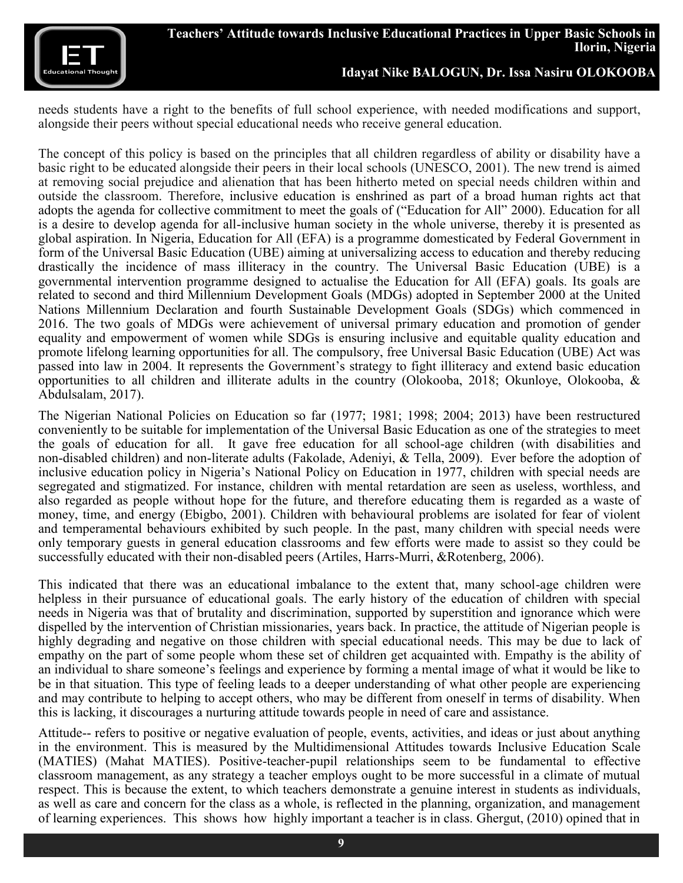

needs students have a right to the benefits of full school experience, with needed modifications and support, alongside their peers without special educational needs who receive general education.

The concept of this policy is based on the principles that all children regardless of ability or disability have a basic right to be educated alongside their peers in their local schools (UNESCO, 2001). The new trend is aimed at removing social prejudice and alienation that has been hitherto meted on special needs children within and outside the classroom. Therefore, inclusive education is enshrined as part of a broad human rights act that adopts the agenda for collective commitment to meet the goals of ("Education for All" 2000). Education for all is a desire to develop agenda for all-inclusive human society in the whole universe, thereby it is presented as global aspiration. In Nigeria, Education for All (EFA) is a programme domesticated by Federal Government in form of the Universal Basic Education (UBE) aiming at universalizing access to education and thereby reducing drastically the incidence of mass illiteracy in the country. The Universal Basic Education (UBE) is a governmental intervention programme designed to actualise the Education for All (EFA) goals. Its goals are related to second and third Millennium Development Goals (MDGs) adopted in September 2000 at the United Nations Millennium Declaration and fourth Sustainable Development Goals (SDGs) which commenced in 2016. The two goals of MDGs were achievement of universal primary education and promotion of gender equality and empowerment of women while SDGs is ensuring inclusive and equitable quality education and promote lifelong learning opportunities for all. The compulsory, free Universal Basic Education (UBE) Act was passed into law in 2004. It represents the Government's strategy to fight illiteracy and extend basic education opportunities to all children and illiterate adults in the country (Olokooba, 2018; Okunloye, Olokooba, & Abdulsalam, 2017).

The Nigerian National Policies on Education so far (1977; 1981; 1998; 2004; 2013) have been restructured conveniently to be suitable for implementation of the Universal Basic Education as one of the strategies to meet the goals of education for all. It gave free education for all school-age children (with disabilities and non-disabled children) and non-literate adults (Fakolade, Adeniyi, & Tella, 2009). Ever before the adoption of inclusive education policy in Nigeria's National Policy on Education in 1977, children with special needs are segregated and stigmatized. For instance, children with mental retardation are seen as useless, worthless, and also regarded as people without hope for the future, and therefore educating them is regarded as a waste of money, time, and energy (Ebigbo, 2001). Children with behavioural problems are isolated for fear of violent and temperamental behaviours exhibited by such people. In the past, many children with special needs were only temporary guests in general education classrooms and few efforts were made to assist so they could be successfully educated with their non-disabled peers (Artiles, Harrs-Murri, &Rotenberg, 2006).

This indicated that there was an educational imbalance to the extent that, many school-age children were helpless in their pursuance of educational goals. The early history of the education of children with special needs in Nigeria was that of brutality and discrimination, supported by superstition and ignorance which were dispelled by the intervention of Christian missionaries, years back. In practice, the attitude of Nigerian people is highly degrading and negative on those children with special educational needs. This may be due to lack of empathy on the part of some people whom these set of children get acquainted with. Empathy is the ability of an individual to share someone's feelings and experience by forming a mental image of what it would be like to be in that situation. This type of feeling leads to a deeper understanding of what other people are experiencing and may contribute to helping to accept others, who may be different from oneself in terms of disability. When this is lacking, it discourages a nurturing attitude towards people in need of care and assistance.

Attitude-- refers to positive or negative evaluation of people, events, activities, and ideas or just about anything in the environment. This is measured by the Multidimensional Attitudes towards Inclusive Education Scale (MATIES) (Mahat MATIES). Positive-teacher-pupil relationships seem to be fundamental to effective classroom management, as any strategy a teacher employs ought to be more successful in a climate of mutual respect. This is because the extent, to which teachers demonstrate a genuine interest in students as individuals, as well as care and concern for the class as a whole, is reflected in the planning, organization, and management of learning experiences. This shows how highly important a teacher is in class. Ghergut, (2010) opined that in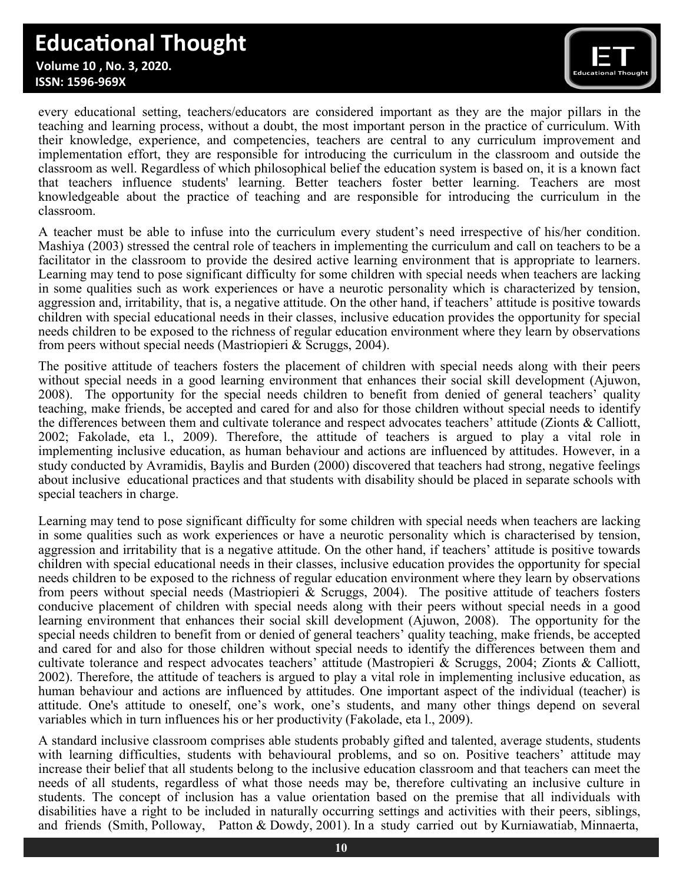# **Educational Thought**

 **Volume 10 , No. 3, 2020. ISSN: 1596-969X**



every educational setting, teachers/educators are considered important as they are the major pillars in the teaching and learning process, without a doubt, the most important person in the practice of curriculum. With their knowledge, experience, and competencies, teachers are central to any curriculum improvement and implementation effort, they are responsible for introducing the curriculum in the classroom and outside the classroom as well. Regardless of which philosophical belief the education system is based on, it is a known fact that teachers influence students' learning. Better teachers foster better learning. Teachers are most knowledgeable about the practice of teaching and are responsible for introducing the curriculum in the classroom.

A teacher must be able to infuse into the curriculum every student's need irrespective of his/her condition. Mashiya (2003) stressed the central role of teachers in implementing the curriculum and call on teachers to be a facilitator in the classroom to provide the desired active learning environment that is appropriate to learners. Learning may tend to pose significant difficulty for some children with special needs when teachers are lacking in some qualities such as work experiences or have a neurotic personality which is characterized by tension, aggression and, irritability, that is, a negative attitude. On the other hand, if teachers' attitude is positive towards children with special educational needs in their classes, inclusive education provides the opportunity for special needs children to be exposed to the richness of regular education environment where they learn by observations from peers without special needs (Mastriopieri & Scruggs, 2004).

The positive attitude of teachers fosters the placement of children with special needs along with their peers without special needs in a good learning environment that enhances their social skill development (Ajuwon, 2008). The opportunity for the special needs children to benefit from denied of general teachers' quality teaching, make friends, be accepted and cared for and also for those children without special needs to identify the differences between them and cultivate tolerance and respect advocates teachers' attitude (Zionts & Calliott, 2002; Fakolade, eta l., 2009). Therefore, the attitude of teachers is argued to play a vital role in implementing inclusive education, as human behaviour and actions are influenced by attitudes. However, in a study conducted by Avramidis, Baylis and Burden (2000) discovered that teachers had strong, negative feelings about inclusive educational practices and that students with disability should be placed in separate schools with special teachers in charge.

Learning may tend to pose significant difficulty for some children with special needs when teachers are lacking in some qualities such as work experiences or have a neurotic personality which is characterised by tension, aggression and irritability that is a negative attitude. On the other hand, if teachers' attitude is positive towards children with special educational needs in their classes, inclusive education provides the opportunity for special needs children to be exposed to the richness of regular education environment where they learn by observations from peers without special needs (Mastriopieri & Scruggs, 2004). The positive attitude of teachers fosters conducive placement of children with special needs along with their peers without special needs in a good learning environment that enhances their social skill development (Ajuwon, 2008). The opportunity for the special needs children to benefit from or denied of general teachers' quality teaching, make friends, be accepted and cared for and also for those children without special needs to identify the differences between them and cultivate tolerance and respect advocates teachers' attitude (Mastropieri & Scruggs, 2004; Zionts & Calliott, 2002). Therefore, the attitude of teachers is argued to play a vital role in implementing inclusive education, as human behaviour and actions are influenced by attitudes. One important aspect of the individual (teacher) is attitude. One's attitude to oneself, one's work, one's students, and many other things depend on several variables which in turn influences his or her productivity (Fakolade, eta l., 2009).

A standard inclusive classroom comprises able students probably gifted and talented, average students, students with learning difficulties, students with behavioural problems, and so on. Positive teachers' attitude may increase their belief that all students belong to the inclusive education classroom and that teachers can meet the needs of all students, regardless of what those needs may be, therefore cultivating an inclusive culture in students. The concept of inclusion has a value orientation based on the premise that all individuals with disabilities have a right to be included in naturally occurring settings and activities with their peers, siblings, and friends (Smith, Polloway, Patton & Dowdy, 2001). In a study carried out by Kurniawatiab, Minnaerta,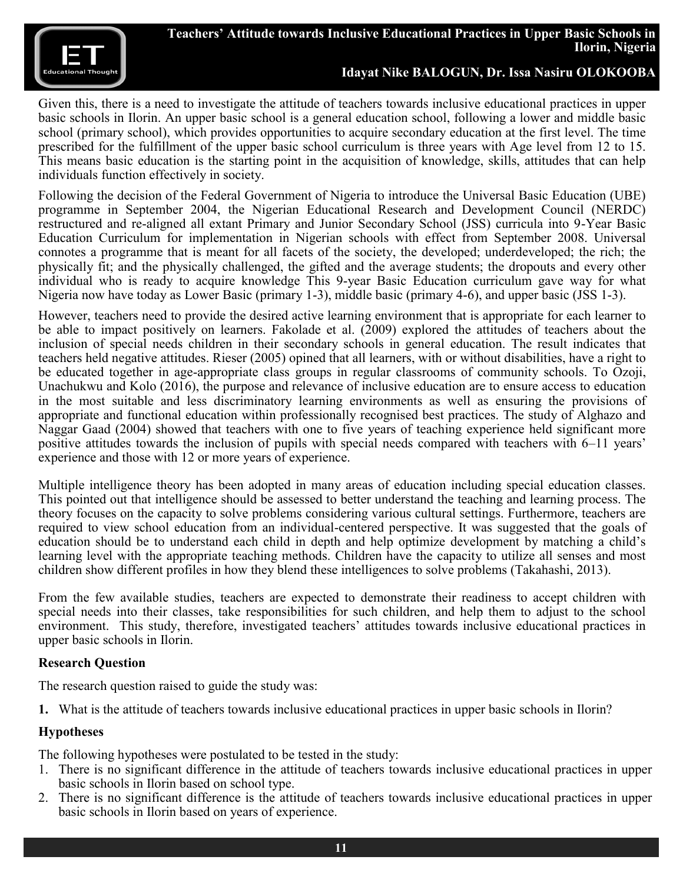

Given this, there is a need to investigate the attitude of teachers towards inclusive educational practices in upper basic schools in Ilorin. An upper basic school is a general education school, following a lower and middle basic school (primary school), which provides opportunities to acquire secondary education at the first level. The time prescribed for the fulfillment of the upper basic school curriculum is three years with Age level from 12 to 15. This means basic education is the starting point in the acquisition of knowledge, skills, attitudes that can help individuals function effectively in society.

Following the decision of the Federal Government of Nigeria to introduce the Universal Basic Education (UBE) programme in September 2004, the Nigerian Educational Research and Development Council (NERDC) restructured and re-aligned all extant Primary and Junior Secondary School (JSS) curricula into 9-Year Basic Education Curriculum for implementation in Nigerian schools with effect from September 2008. Universal connotes a programme that is meant for all facets of the society, the developed; underdeveloped; the rich; the physically fit; and the physically challenged, the gifted and the average students; the dropouts and every other individual who is ready to acquire knowledge This 9-year Basic Education curriculum gave way for what Nigeria now have today as Lower Basic (primary 1-3), middle basic (primary 4-6), and upper basic (JSS 1-3).

However, teachers need to provide the desired active learning environment that is appropriate for each learner to be able to impact positively on learners. Fakolade et al. (2009) explored the attitudes of teachers about the inclusion of special needs children in their secondary schools in general education. The result indicates that teachers held negative attitudes. Rieser (2005) opined that all learners, with or without disabilities, have a right to be educated together in age-appropriate class groups in regular classrooms of community schools. To Ozoji, Unachukwu and Kolo (2016), the purpose and relevance of inclusive education are to ensure access to education in the most suitable and less discriminatory learning environments as well as ensuring the provisions of appropriate and functional education within professionally recognised best practices. The study of Alghazo and Naggar Gaad (2004) showed that teachers with one to five years of teaching experience held significant more positive attitudes towards the inclusion of pupils with special needs compared with teachers with 6–11 years' experience and those with 12 or more years of experience.

Multiple intelligence theory has been adopted in many areas of education including special education classes. This pointed out that intelligence should be assessed to better understand the teaching and learning process. The theory focuses on the capacity to solve problems considering various cultural settings. Furthermore, teachers are required to view school education from an individual-centered perspective. It was suggested that the goals of education should be to understand each child in depth and help optimize development by matching a child's learning level with the appropriate teaching methods. Children have the capacity to utilize all senses and most children show different profiles in how they blend these intelligences to solve problems (Takahashi, 2013).

From the few available studies, teachers are expected to demonstrate their readiness to accept children with special needs into their classes, take responsibilities for such children, and help them to adjust to the school environment. This study, therefore, investigated teachers' attitudes towards inclusive educational practices in upper basic schools in Ilorin.

### **Research Question**

The research question raised to guide the study was:

**1.** What is the attitude of teachers towards inclusive educational practices in upper basic schools in Ilorin?

### **Hypotheses**

The following hypotheses were postulated to be tested in the study:

- 1. There is no significant difference in the attitude of teachers towards inclusive educational practices in upper basic schools in Ilorin based on school type.
- 2. There is no significant difference is the attitude of teachers towards inclusive educational practices in upper basic schools in Ilorin based on years of experience.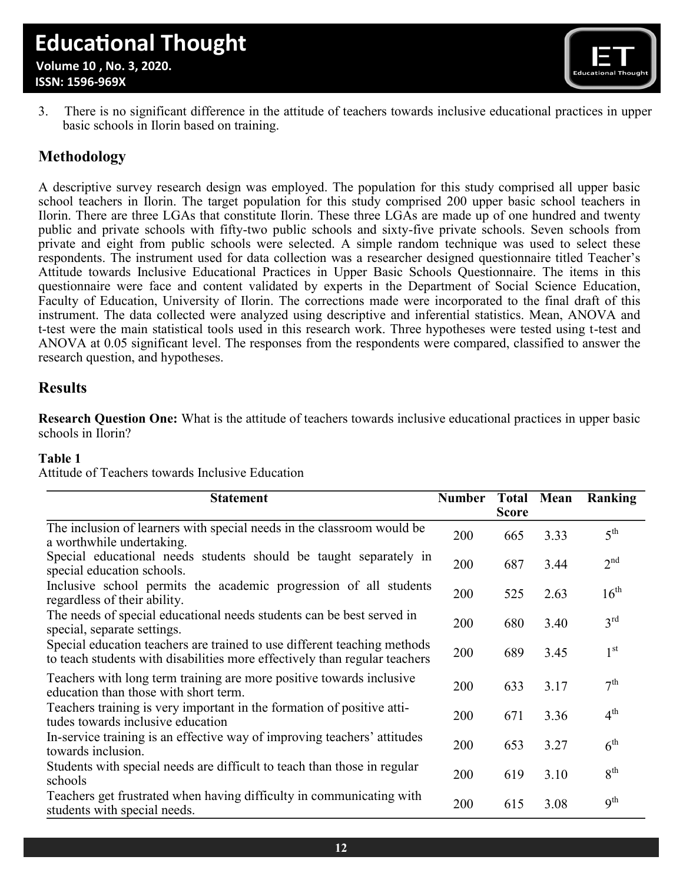

3. There is no significant difference in the attitude of teachers towards inclusive educational practices in upper basic schools in Ilorin based on training.

### **Methodology**

A descriptive survey research design was employed. The population for this study comprised all upper basic school teachers in Ilorin. The target population for this study comprised 200 upper basic school teachers in Ilorin. There are three LGAs that constitute Ilorin. These three LGAs are made up of one hundred and twenty public and private schools with fifty-two public schools and sixty-five private schools. Seven schools from private and eight from public schools were selected. A simple random technique was used to select these respondents. The instrument used for data collection was a researcher designed questionnaire titled Teacher's Attitude towards Inclusive Educational Practices in Upper Basic Schools Questionnaire. The items in this questionnaire were face and content validated by experts in the Department of Social Science Education, Faculty of Education, University of Ilorin. The corrections made were incorporated to the final draft of this instrument. The data collected were analyzed using descriptive and inferential statistics. Mean, ANOVA and t-test were the main statistical tools used in this research work. Three hypotheses were tested using t-test and ANOVA at 0.05 significant level. The responses from the respondents were compared, classified to answer the research question, and hypotheses.

### **Results**

**Research Question One:** What is the attitude of teachers towards inclusive educational practices in upper basic schools in Ilorin?

#### **Table 1**

Attitude of Teachers towards Inclusive Education

| <b>Statement</b>                                                                                                                                       | <b>Number</b> | <b>Total</b><br><b>Score</b> | Mean | Ranking          |
|--------------------------------------------------------------------------------------------------------------------------------------------------------|---------------|------------------------------|------|------------------|
| The inclusion of learners with special needs in the classroom would be<br>a worthwhile undertaking.                                                    | 200           | 665                          | 3.33 | 5 <sup>th</sup>  |
| Special educational needs students should be taught separately in<br>special education schools.                                                        | 200           | 687                          | 3.44 | 2 <sup>nd</sup>  |
| Inclusive school permits the academic progression of all students<br>regardless of their ability.                                                      | 200           | 525                          | 2.63 | $16^{\text{th}}$ |
| The needs of special educational needs students can be best served in<br>special, separate settings.                                                   | 200           | 680                          | 3.40 | $3^{\text{rd}}$  |
| Special education teachers are trained to use different teaching methods<br>to teach students with disabilities more effectively than regular teachers | 200           | 689                          | 3.45 | $1^{\rm st}$     |
| Teachers with long term training are more positive towards inclusive<br>education than those with short term.                                          | 200           | 633                          | 3.17 | 7 <sup>th</sup>  |
| Teachers training is very important in the formation of positive atti-<br>tudes towards inclusive education                                            | 200           | 671                          | 3.36 | 4 <sup>th</sup>  |
| In-service training is an effective way of improving teachers' attitudes<br>towards inclusion.                                                         | 200           | 653                          | 3.27 | 6 <sup>th</sup>  |
| Students with special needs are difficult to teach than those in regular<br>schools                                                                    | 200           | 619                          | 3.10 | 8 <sup>th</sup>  |
| Teachers get frustrated when having difficulty in communicating with<br>students with special needs.                                                   | 200           | 615                          | 3.08 | 9 <sup>th</sup>  |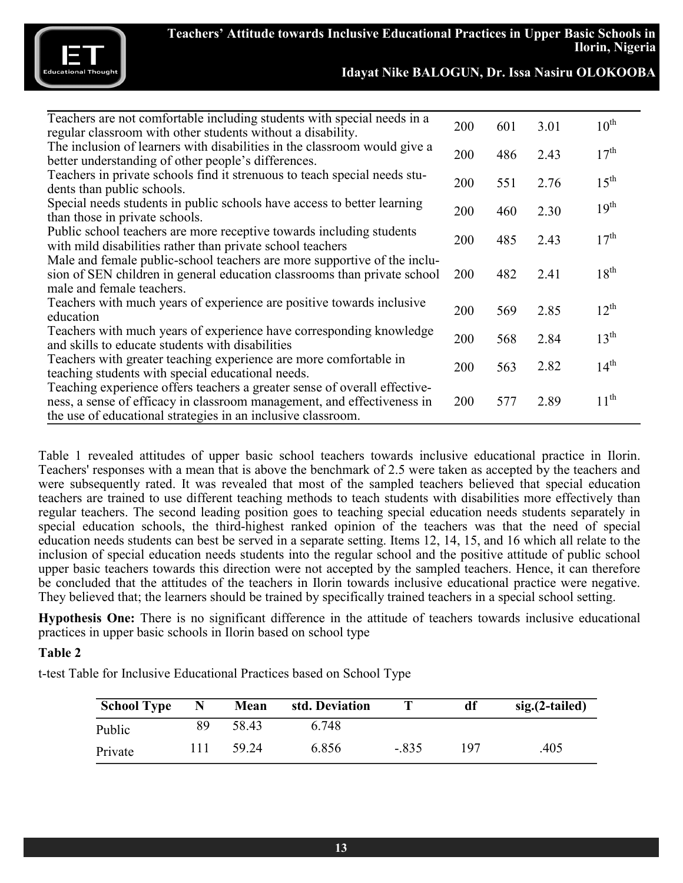

| $10^{\text{th}}$<br>200<br>601<br>3.01<br>regular classroom with other students without a disability.<br>The inclusion of learners with disabilities in the classroom would give a<br>17 <sup>th</sup><br>486<br>200<br>2.43<br>better understanding of other people's differences.<br>Teachers in private schools find it strenuous to teach special needs stu-<br>$1.5^{\text{th}}$<br>2.76<br>551<br><b>200</b><br>dents than public schools.<br>Special needs students in public schools have access to better learning<br>19 <sup>th</sup><br>200<br>460<br>2.30<br>than those in private schools.<br>Public school teachers are more receptive towards including students<br>17 <sup>th</sup><br>200<br>485<br>2.43<br>with mild disabilities rather than private school teachers<br>Male and female public-school teachers are more supportive of the inclu-<br>$18^{\text{th}}$<br>sion of SEN children in general education classrooms than private school<br>482<br><b>200</b><br>2.41<br>male and female teachers.<br>Teachers with much years of experience are positive towards inclusive<br>$12^{th}$<br>200<br>569<br>2.85<br>education<br>Teachers with much years of experience have corresponding knowledge<br>$13^{\text{th}}$<br>568<br>2.84<br>200<br>and skills to educate students with disabilities<br>Teachers with greater teaching experience are more comfortable in<br>$14^{\text{th}}$<br>2.82<br>200<br>563<br>teaching students with special educational needs.<br>Teaching experience offers teachers a greater sense of overall effective-<br>$11^{\text{th}}$<br>ness, a sense of efficacy in classroom management, and effectiveness in<br>577<br>2.89<br><b>200</b><br>the use of educational strategies in an inclusive classroom. |                                                                         |  |  |
|--------------------------------------------------------------------------------------------------------------------------------------------------------------------------------------------------------------------------------------------------------------------------------------------------------------------------------------------------------------------------------------------------------------------------------------------------------------------------------------------------------------------------------------------------------------------------------------------------------------------------------------------------------------------------------------------------------------------------------------------------------------------------------------------------------------------------------------------------------------------------------------------------------------------------------------------------------------------------------------------------------------------------------------------------------------------------------------------------------------------------------------------------------------------------------------------------------------------------------------------------------------------------------------------------------------------------------------------------------------------------------------------------------------------------------------------------------------------------------------------------------------------------------------------------------------------------------------------------------------------------------------------------------------------------------------------------------------------------------------------------------------------------|-------------------------------------------------------------------------|--|--|
|                                                                                                                                                                                                                                                                                                                                                                                                                                                                                                                                                                                                                                                                                                                                                                                                                                                                                                                                                                                                                                                                                                                                                                                                                                                                                                                                                                                                                                                                                                                                                                                                                                                                                                                                                                          | Teachers are not comfortable including students with special needs in a |  |  |
|                                                                                                                                                                                                                                                                                                                                                                                                                                                                                                                                                                                                                                                                                                                                                                                                                                                                                                                                                                                                                                                                                                                                                                                                                                                                                                                                                                                                                                                                                                                                                                                                                                                                                                                                                                          |                                                                         |  |  |
|                                                                                                                                                                                                                                                                                                                                                                                                                                                                                                                                                                                                                                                                                                                                                                                                                                                                                                                                                                                                                                                                                                                                                                                                                                                                                                                                                                                                                                                                                                                                                                                                                                                                                                                                                                          |                                                                         |  |  |
|                                                                                                                                                                                                                                                                                                                                                                                                                                                                                                                                                                                                                                                                                                                                                                                                                                                                                                                                                                                                                                                                                                                                                                                                                                                                                                                                                                                                                                                                                                                                                                                                                                                                                                                                                                          |                                                                         |  |  |
|                                                                                                                                                                                                                                                                                                                                                                                                                                                                                                                                                                                                                                                                                                                                                                                                                                                                                                                                                                                                                                                                                                                                                                                                                                                                                                                                                                                                                                                                                                                                                                                                                                                                                                                                                                          |                                                                         |  |  |
|                                                                                                                                                                                                                                                                                                                                                                                                                                                                                                                                                                                                                                                                                                                                                                                                                                                                                                                                                                                                                                                                                                                                                                                                                                                                                                                                                                                                                                                                                                                                                                                                                                                                                                                                                                          |                                                                         |  |  |
|                                                                                                                                                                                                                                                                                                                                                                                                                                                                                                                                                                                                                                                                                                                                                                                                                                                                                                                                                                                                                                                                                                                                                                                                                                                                                                                                                                                                                                                                                                                                                                                                                                                                                                                                                                          |                                                                         |  |  |
|                                                                                                                                                                                                                                                                                                                                                                                                                                                                                                                                                                                                                                                                                                                                                                                                                                                                                                                                                                                                                                                                                                                                                                                                                                                                                                                                                                                                                                                                                                                                                                                                                                                                                                                                                                          |                                                                         |  |  |
|                                                                                                                                                                                                                                                                                                                                                                                                                                                                                                                                                                                                                                                                                                                                                                                                                                                                                                                                                                                                                                                                                                                                                                                                                                                                                                                                                                                                                                                                                                                                                                                                                                                                                                                                                                          |                                                                         |  |  |
|                                                                                                                                                                                                                                                                                                                                                                                                                                                                                                                                                                                                                                                                                                                                                                                                                                                                                                                                                                                                                                                                                                                                                                                                                                                                                                                                                                                                                                                                                                                                                                                                                                                                                                                                                                          |                                                                         |  |  |
|                                                                                                                                                                                                                                                                                                                                                                                                                                                                                                                                                                                                                                                                                                                                                                                                                                                                                                                                                                                                                                                                                                                                                                                                                                                                                                                                                                                                                                                                                                                                                                                                                                                                                                                                                                          |                                                                         |  |  |
|                                                                                                                                                                                                                                                                                                                                                                                                                                                                                                                                                                                                                                                                                                                                                                                                                                                                                                                                                                                                                                                                                                                                                                                                                                                                                                                                                                                                                                                                                                                                                                                                                                                                                                                                                                          |                                                                         |  |  |
|                                                                                                                                                                                                                                                                                                                                                                                                                                                                                                                                                                                                                                                                                                                                                                                                                                                                                                                                                                                                                                                                                                                                                                                                                                                                                                                                                                                                                                                                                                                                                                                                                                                                                                                                                                          |                                                                         |  |  |
|                                                                                                                                                                                                                                                                                                                                                                                                                                                                                                                                                                                                                                                                                                                                                                                                                                                                                                                                                                                                                                                                                                                                                                                                                                                                                                                                                                                                                                                                                                                                                                                                                                                                                                                                                                          |                                                                         |  |  |
|                                                                                                                                                                                                                                                                                                                                                                                                                                                                                                                                                                                                                                                                                                                                                                                                                                                                                                                                                                                                                                                                                                                                                                                                                                                                                                                                                                                                                                                                                                                                                                                                                                                                                                                                                                          |                                                                         |  |  |
|                                                                                                                                                                                                                                                                                                                                                                                                                                                                                                                                                                                                                                                                                                                                                                                                                                                                                                                                                                                                                                                                                                                                                                                                                                                                                                                                                                                                                                                                                                                                                                                                                                                                                                                                                                          |                                                                         |  |  |
|                                                                                                                                                                                                                                                                                                                                                                                                                                                                                                                                                                                                                                                                                                                                                                                                                                                                                                                                                                                                                                                                                                                                                                                                                                                                                                                                                                                                                                                                                                                                                                                                                                                                                                                                                                          |                                                                         |  |  |
|                                                                                                                                                                                                                                                                                                                                                                                                                                                                                                                                                                                                                                                                                                                                                                                                                                                                                                                                                                                                                                                                                                                                                                                                                                                                                                                                                                                                                                                                                                                                                                                                                                                                                                                                                                          |                                                                         |  |  |
|                                                                                                                                                                                                                                                                                                                                                                                                                                                                                                                                                                                                                                                                                                                                                                                                                                                                                                                                                                                                                                                                                                                                                                                                                                                                                                                                                                                                                                                                                                                                                                                                                                                                                                                                                                          |                                                                         |  |  |
|                                                                                                                                                                                                                                                                                                                                                                                                                                                                                                                                                                                                                                                                                                                                                                                                                                                                                                                                                                                                                                                                                                                                                                                                                                                                                                                                                                                                                                                                                                                                                                                                                                                                                                                                                                          |                                                                         |  |  |
|                                                                                                                                                                                                                                                                                                                                                                                                                                                                                                                                                                                                                                                                                                                                                                                                                                                                                                                                                                                                                                                                                                                                                                                                                                                                                                                                                                                                                                                                                                                                                                                                                                                                                                                                                                          |                                                                         |  |  |
|                                                                                                                                                                                                                                                                                                                                                                                                                                                                                                                                                                                                                                                                                                                                                                                                                                                                                                                                                                                                                                                                                                                                                                                                                                                                                                                                                                                                                                                                                                                                                                                                                                                                                                                                                                          |                                                                         |  |  |
|                                                                                                                                                                                                                                                                                                                                                                                                                                                                                                                                                                                                                                                                                                                                                                                                                                                                                                                                                                                                                                                                                                                                                                                                                                                                                                                                                                                                                                                                                                                                                                                                                                                                                                                                                                          |                                                                         |  |  |

Table 1 revealed attitudes of upper basic school teachers towards inclusive educational practice in Ilorin. Teachers' responses with a mean that is above the benchmark of 2.5 were taken as accepted by the teachers and were subsequently rated. It was revealed that most of the sampled teachers believed that special education teachers are trained to use different teaching methods to teach students with disabilities more effectively than regular teachers. The second leading position goes to teaching special education needs students separately in special education schools, the third-highest ranked opinion of the teachers was that the need of special education needs students can best be served in a separate setting. Items 12, 14, 15, and 16 which all relate to the inclusion of special education needs students into the regular school and the positive attitude of public school upper basic teachers towards this direction were not accepted by the sampled teachers. Hence, it can therefore be concluded that the attitudes of the teachers in Ilorin towards inclusive educational practice were negative. They believed that; the learners should be trained by specifically trained teachers in a special school setting.

**Hypothesis One:** There is no significant difference in the attitude of teachers towards inclusive educational practices in upper basic schools in Ilorin based on school type

### **Table 2**

t-test Table for Inclusive Educational Practices based on School Type

| <b>School Type</b> | N  | Mean  | std. Deviation |         | df  | $sig.(2-tailed)$ |
|--------------------|----|-------|----------------|---------|-----|------------------|
| Public             | 89 | 58.43 | 6.748          |         |     |                  |
| Private            |    | 59.24 | 6.856          | $-.835$ | 197 | .405             |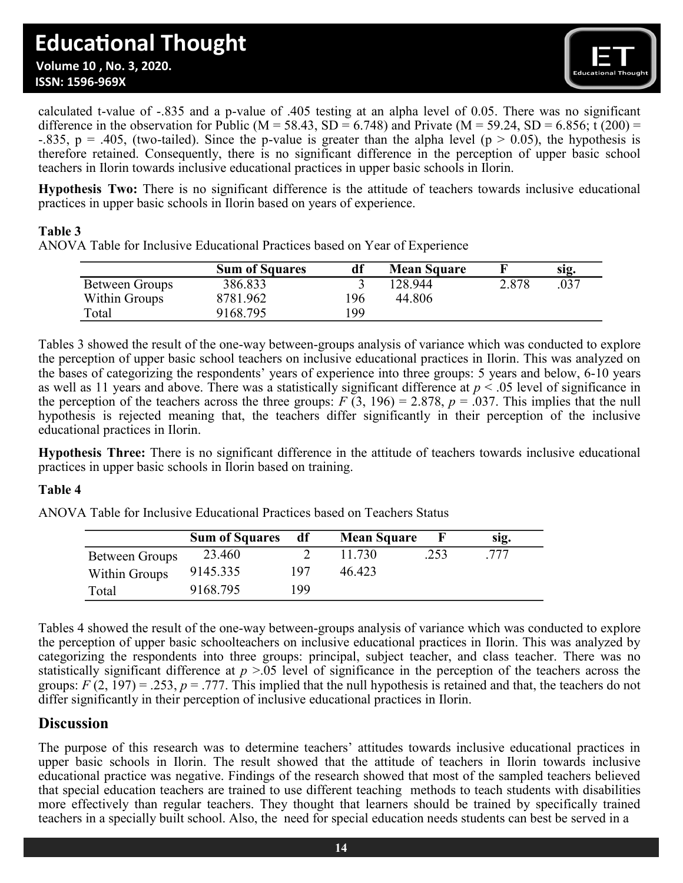

calculated t-value of -.835 and a p-value of .405 testing at an alpha level of 0.05. There was no significant difference in the observation for Public (M = 58.43, SD = 6.748) and Private (M = 59.24, SD = 6.856; t (200) = -.835, p = .405, (two-tailed). Since the p-value is greater than the alpha level (p  $> 0.05$ ), the hypothesis is therefore retained. Consequently, there is no significant difference in the perception of upper basic school teachers in Ilorin towards inclusive educational practices in upper basic schools in Ilorin.

**Hypothesis Two:** There is no significant difference is the attitude of teachers towards inclusive educational practices in upper basic schools in Ilorin based on years of experience.

### **Table 3**

ANOVA Table for Inclusive Educational Practices based on Year of Experience

|                       | <b>Sum of Squares</b> | df  | <b>Mean Square</b> |       | sıg. |
|-----------------------|-----------------------|-----|--------------------|-------|------|
| <b>Between Groups</b> | 386.833               |     | 128.944            | 2.878 | .037 |
| Within Groups         | 8781.962              | 96  | 44.806             |       |      |
| $\tau_{\text{otal}}$  | 9168.795              | .99 |                    |       |      |

Tables 3 showed the result of the one-way between-groups analysis of variance which was conducted to explore the perception of upper basic school teachers on inclusive educational practices in Ilorin. This was analyzed on the bases of categorizing the respondents' years of experience into three groups: 5 years and below, 6-10 years as well as 11 years and above. There was a statistically significant difference at *p* < .05 level of significance in the perception of the teachers across the three groups:  $F(3, 196) = 2.878$ ,  $p = .037$ . This implies that the null hypothesis is rejected meaning that, the teachers differ significantly in their perception of the inclusive educational practices in Ilorin.

**Hypothesis Three:** There is no significant difference in the attitude of teachers towards inclusive educational practices in upper basic schools in Ilorin based on training.

### **Table 4**

ANOVA Table for Inclusive Educational Practices based on Teachers Status

|                | <b>Sum of Squares</b> | df  | <b>Mean Square</b> |      | SIQ. |
|----------------|-----------------------|-----|--------------------|------|------|
| Between Groups | 23.460                |     | 11.730             | .253 | .777 |
| Within Groups  | 9145.335              | 197 | 46.423             |      |      |
| Total          | 9168.795              | 199 |                    |      |      |

Tables 4 showed the result of the one-way between-groups analysis of variance which was conducted to explore the perception of upper basic schoolteachers on inclusive educational practices in Ilorin. This was analyzed by categorizing the respondents into three groups: principal, subject teacher, and class teacher. There was no statistically significant difference at *p* >.05 level of significance in the perception of the teachers across the groups:  $F(2, 197) = .253$ ,  $p = .777$ . This implied that the null hypothesis is retained and that, the teachers do not differ significantly in their perception of inclusive educational practices in Ilorin.

### **Discussion**

The purpose of this research was to determine teachers' attitudes towards inclusive educational practices in upper basic schools in Ilorin. The result showed that the attitude of teachers in Ilorin towards inclusive educational practice was negative. Findings of the research showed that most of the sampled teachers believed that special education teachers are trained to use different teaching methods to teach students with disabilities more effectively than regular teachers. They thought that learners should be trained by specifically trained teachers in a specially built school. Also, the need for special education needs students can best be served in a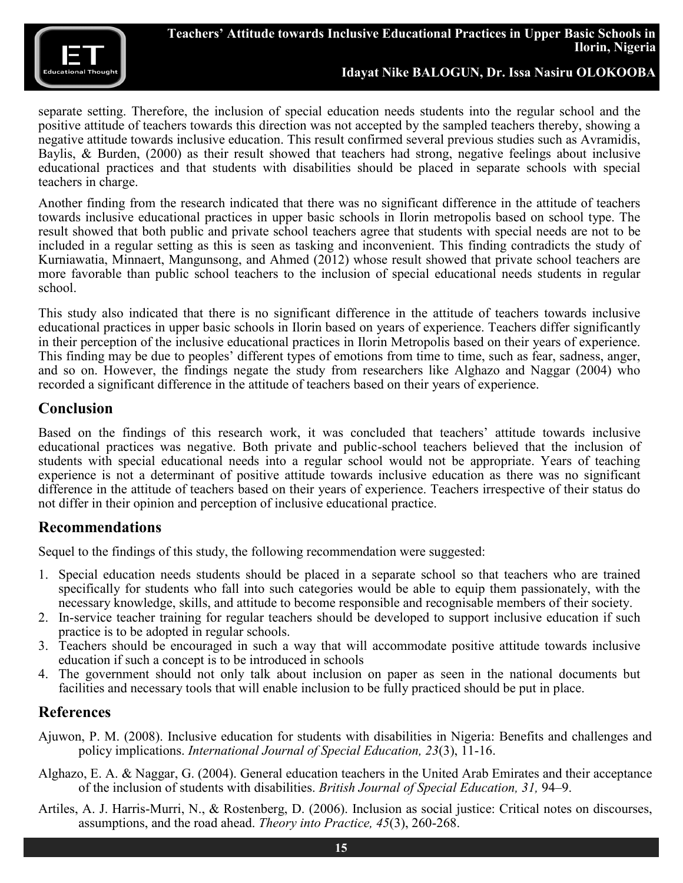

separate setting. Therefore, the inclusion of special education needs students into the regular school and the positive attitude of teachers towards this direction was not accepted by the sampled teachers thereby, showing a negative attitude towards inclusive education. This result confirmed several previous studies such as Avramidis, Baylis, & Burden, (2000) as their result showed that teachers had strong, negative feelings about inclusive educational practices and that students with disabilities should be placed in separate schools with special teachers in charge.

Another finding from the research indicated that there was no significant difference in the attitude of teachers towards inclusive educational practices in upper basic schools in Ilorin metropolis based on school type. The result showed that both public and private school teachers agree that students with special needs are not to be included in a regular setting as this is seen as tasking and inconvenient. This finding contradicts the study of Kurniawatia, Minnaert, Mangunsong, and Ahmed (2012) whose result showed that private school teachers are more favorable than public school teachers to the inclusion of special educational needs students in regular school.

This study also indicated that there is no significant difference in the attitude of teachers towards inclusive educational practices in upper basic schools in Ilorin based on years of experience. Teachers differ significantly in their perception of the inclusive educational practices in Ilorin Metropolis based on their years of experience. This finding may be due to peoples' different types of emotions from time to time, such as fear, sadness, anger, and so on. However, the findings negate the study from researchers like Alghazo and Naggar (2004) who recorded a significant difference in the attitude of teachers based on their years of experience.

### **Conclusion**

Based on the findings of this research work, it was concluded that teachers' attitude towards inclusive educational practices was negative. Both private and public-school teachers believed that the inclusion of students with special educational needs into a regular school would not be appropriate. Years of teaching experience is not a determinant of positive attitude towards inclusive education as there was no significant difference in the attitude of teachers based on their years of experience. Teachers irrespective of their status do not differ in their opinion and perception of inclusive educational practice.

### **Recommendations**

Sequel to the findings of this study, the following recommendation were suggested:

- 1. Special education needs students should be placed in a separate school so that teachers who are trained specifically for students who fall into such categories would be able to equip them passionately, with the necessary knowledge, skills, and attitude to become responsible and recognisable members of their society.
- 2. In-service teacher training for regular teachers should be developed to support inclusive education if such practice is to be adopted in regular schools.
- 3. Teachers should be encouraged in such a way that will accommodate positive attitude towards inclusive education if such a concept is to be introduced in schools
- 4. The government should not only talk about inclusion on paper as seen in the national documents but facilities and necessary tools that will enable inclusion to be fully practiced should be put in place.

### **References**

- Ajuwon, P. M. (2008). Inclusive education for students with disabilities in Nigeria: Benefits and challenges and policy implications. *International Journal of Special Education, 23*(3), 11-16.
- Alghazo, E. A. & Naggar, G. (2004). General education teachers in the United Arab Emirates and their acceptance of the inclusion of students with disabilities. *British Journal of Special Education, 31,* 94–9.
- Artiles, A. J. Harris-Murri, N., & Rostenberg, D. (2006). Inclusion as social justice: Critical notes on discourses, assumptions, and the road ahead. *Theory into Practice, 45*(3), 260-268.